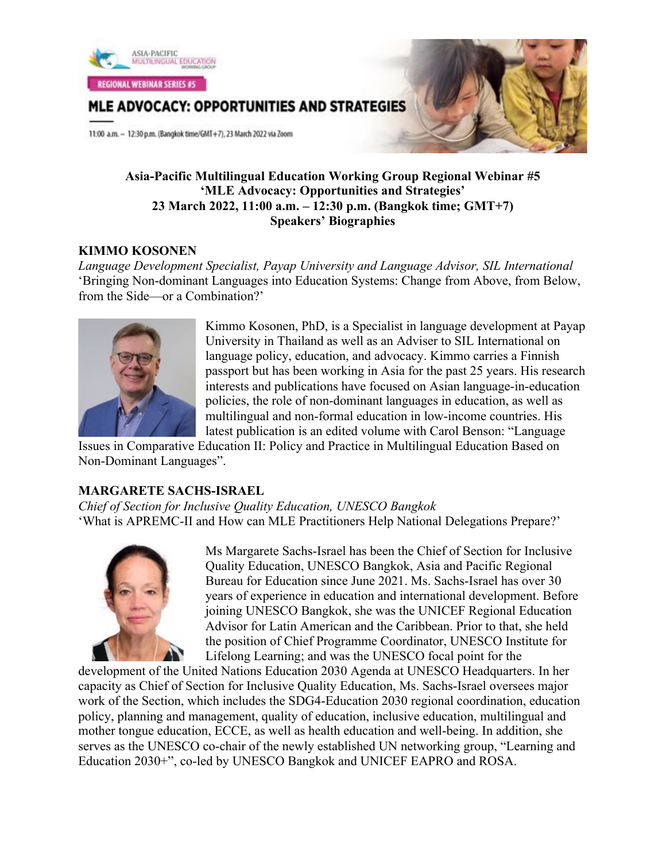

MLE ADVOCACY: OPPORTUNITIES AND STRATEGIES

11:00 a.m. - 12:30 p.m. (Bangkok time/GMT+7), 23 March 2022 via Zoom

## **Asia-Pacific Multilingual Education Working Group Regional Webinar #5 'MLE Advocacy: Opportunities and Strategies' 23 March 2022, 11:00 a.m. – 12:30 p.m. (Bangkok time; GMT+7) Speakers' Biographies**

# **KIMMO KOSONEN**

*Language Development Specialist, Payap University and Language Advisor, SIL International* 'Bringing Non-dominant Languages into Education Systems: Change from Above, from Below, from the Side—or a Combination?'



Kimmo Kosonen, PhD, is a Specialist in language development at Payap University in Thailand as well as an Adviser to SIL International on language policy, education, and advocacy. Kimmo carries a Finnish passport but has been working in Asia for the past 25 years. His research interests and publications have focused on Asian language-in-education policies, the role of non-dominant languages in education, as well as multilingual and non-formal education in low-income countries. His latest publication is an edited volume with Carol Benson: "Language

Issues in Comparative Education II: Policy and Practice in Multilingual Education Based on Non-Dominant Languages".

# **MARGARETE SACHS-ISRAEL**

*Chief of Section for Inclusive Quality Education, UNESCO Bangkok* 'What is APREMC-II and How can MLE Practitioners Help National Delegations Prepare?'



Ms Margarete Sachs-Israel has been the Chief of Section for Inclusive Quality Education, UNESCO Bangkok, Asia and Pacific Regional Bureau for Education since June 2021. Ms. Sachs-Israel has over 30 years of experience in education and international development. Before joining UNESCO Bangkok, she was the UNICEF Regional Education Advisor for Latin American and the Caribbean. Prior to that, she held the position of Chief Programme Coordinator, UNESCO Institute for Lifelong Learning; and was the UNESCO focal point for the

development of the United Nations Education 2030 Agenda at UNESCO Headquarters. In her capacity as Chief of Section for Inclusive Quality Education, Ms. Sachs-Israel oversees major work of the Section, which includes the SDG4-Education 2030 regional coordination, education policy, planning and management, quality of education, inclusive education, multilingual and mother tongue education, ECCE, as well as health education and well-being. In addition, she serves as the UNESCO co-chair of the newly established UN networking group, "Learning and Education 2030+", co-led by UNESCO Bangkok and UNICEF EAPRO and ROSA.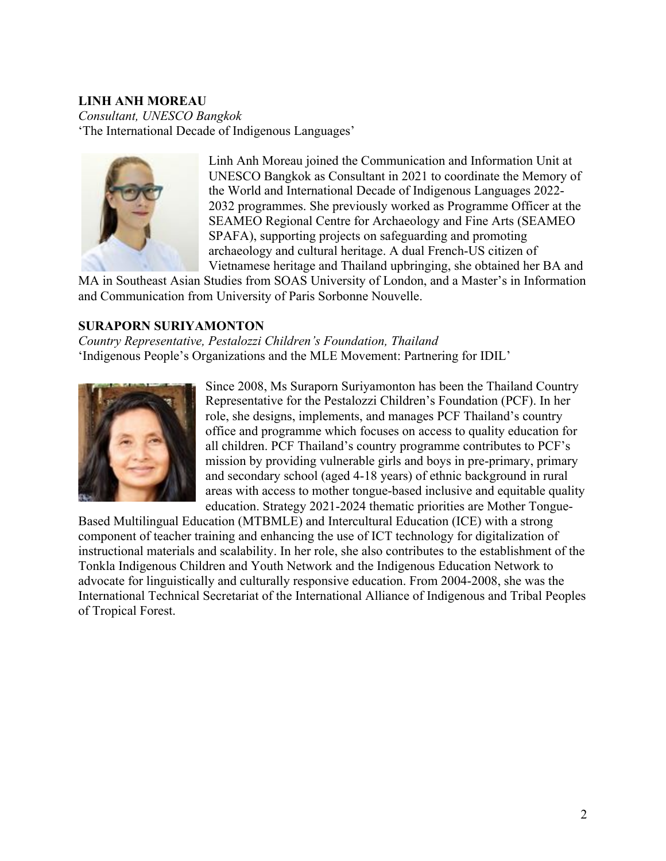# **LINH ANH MOREAU**

*Consultant, UNESCO Bangkok* 'The International Decade of Indigenous Languages'



Linh Anh Moreau joined the Communication and Information Unit at UNESCO Bangkok as Consultant in 2021 to coordinate the Memory of the World and International Decade of Indigenous Languages 2022- 2032 programmes. She previously worked as Programme Officer at the SEAMEO Regional Centre for Archaeology and Fine Arts (SEAMEO SPAFA), supporting projects on safeguarding and promoting archaeology and cultural heritage. A dual French-US citizen of Vietnamese heritage and Thailand upbringing, she obtained her BA and

MA in Southeast Asian Studies from SOAS University of London, and a Master's in Information and Communication from University of Paris Sorbonne Nouvelle.

## **SURAPORN SURIYAMONTON**

*Country Representative, Pestalozzi Children's Foundation, Thailand* 'Indigenous People's Organizations and the MLE Movement: Partnering for IDIL'



Since 2008, Ms Suraporn Suriyamonton has been the Thailand Country Representative for the Pestalozzi Children's Foundation (PCF). In her role, she designs, implements, and manages PCF Thailand's country office and programme which focuses on access to quality education for all children. PCF Thailand's country programme contributes to PCF's mission by providing vulnerable girls and boys in pre-primary, primary and secondary school (aged 4-18 years) of ethnic background in rural areas with access to mother tongue-based inclusive and equitable quality education. Strategy 2021-2024 thematic priorities are Mother Tongue-

Based Multilingual Education (MTBMLE) and Intercultural Education (ICE) with a strong component of teacher training and enhancing the use of ICT technology for digitalization of instructional materials and scalability. In her role, she also contributes to the establishment of the Tonkla Indigenous Children and Youth Network and the Indigenous Education Network to advocate for linguistically and culturally responsive education. From 2004-2008, she was the International Technical Secretariat of the International Alliance of Indigenous and Tribal Peoples of Tropical Forest.